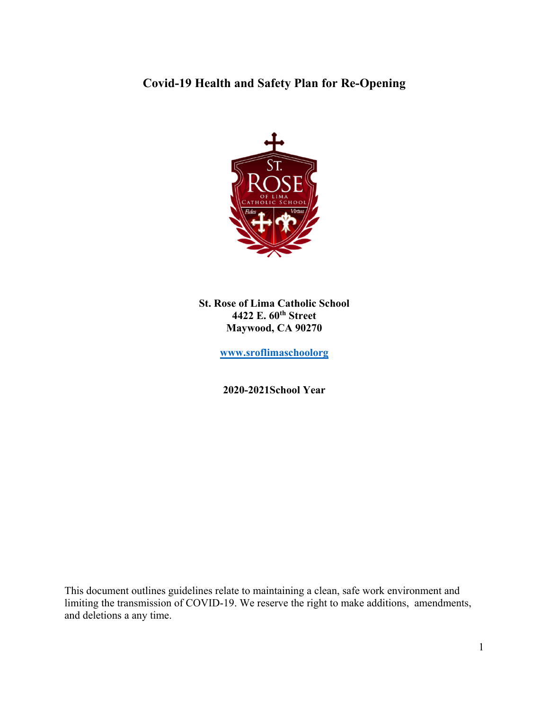# **Covid-19 Health and Safety Plan for Re-Opening**



**St. Rose of Lima Catholic School 4422 E. 60th Street Maywood, CA 90270** 

**www.sroflimaschoolorg**

**2020-2021School Year**

This document outlines guidelines relate to maintaining a clean, safe work environment and limiting the transmission of COVID-19. We reserve the right to make additions, amendments, and deletions a any time.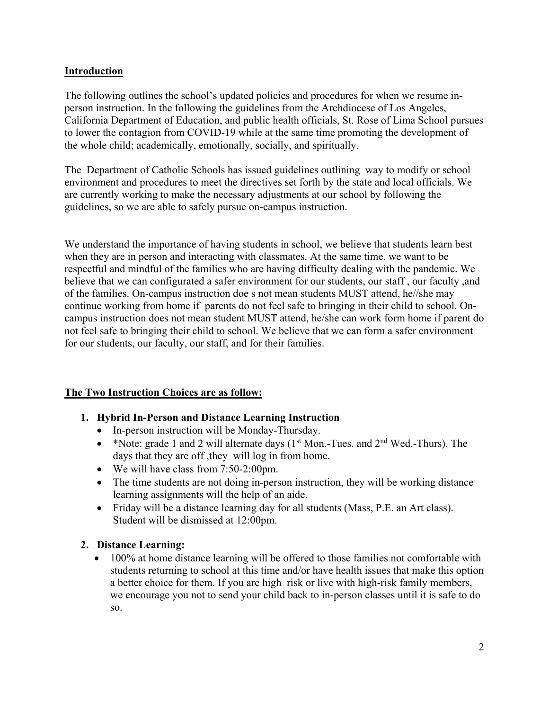### **Introduction**

The following outlines the school's updated policies and procedures for when we resume inperson instruction. In the following the guidelines from the Archdiocese of Los Angeles, California Department of Education, and public health officials, St. Rose of Lima School pursues to lower the contagion from COVID-19 while at the same time promoting the development of the whole child; academically, emotionally, socially, and spiritually.

The Department of Catholic Schools has issued guidelines outlining way to modify or school environment and procedures to meet the directives set forth by the state and local officials. We are currently working to make the necessary adjustments at our school by following the guidelines, so we are able to safely pursue on-campus instruction.

We understand the importance of having students in school, we believe that students learn best when they are in person and interacting with classmates. At the same time, we want to be respectful and mindful of the families who are having difficulty dealing with the pandemic. We believe that we can configurated a safer environment for our students, our staff , our faculty ,and of the families. On-campus instruction doe s not mean students MUST attend, he//she may continue working from home if parents do not feel safe to bringing in their child to school. Oncampus instruction does not mean student MUST attend, he/she can work form home if parent do not feel safe to bringing their child to school. We believe that we can form a safer environment for our students, our faculty, our staff, and for their families.

#### **The Two Instruction Choices are as follow:**

- **1. Hybrid In-Person and Distance Learning Instruction**
	- In-person instruction will be Monday-Thursday.
	- \*Note: grade 1 and 2 will alternate days  $(1<sup>st</sup> Mon.-Tues.$  and  $2<sup>nd</sup> Wed.-Thurs).$  The days that they are off ,they will log in from home.
	- We will have class from 7:50-2:00pm.
	- The time students are not doing in-person instruction, they will be working distance learning assignments will the help of an aide.
	- Friday will be a distance learning day for all students (Mass, P.E. an Art class). Student will be dismissed at 12:00pm.

#### **2. Distance Learning:**

• 100% at home distance learning will be offered to those families not comfortable with students returning to school at this time and/or have health issues that make this option a better choice for them. If you are high risk or live with high-risk family members, we encourage you not to send your child back to in-person classes until it is safe to do so.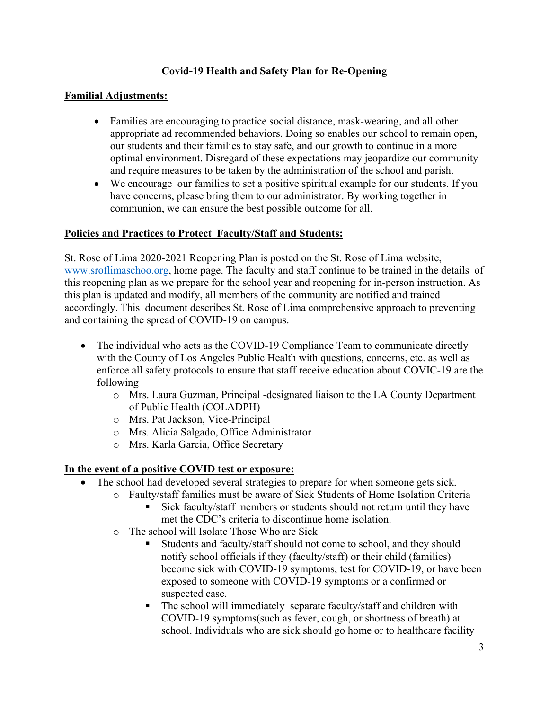## **Covid-19 Health and Safety Plan for Re-Opening**

### **Familial Adjustments:**

- Families are encouraging to practice social distance, mask-wearing, and all other appropriate ad recommended behaviors. Doing so enables our school to remain open, our students and their families to stay safe, and our growth to continue in a more optimal environment. Disregard of these expectations may jeopardize our community and require measures to be taken by the administration of the school and parish.
- We encourage our families to set a positive spiritual example for our students. If you have concerns, please bring them to our administrator. By working together in communion, we can ensure the best possible outcome for all.

### **Policies and Practices to Protect Faculty/Staff and Students:**

St. Rose of Lima 2020-2021 Reopening Plan is posted on the St. Rose of Lima website, www.sroflimaschoo.org, home page. The faculty and staff continue to be trained in the details of this reopening plan as we prepare for the school year and reopening for in-person instruction. As this plan is updated and modify, all members of the community are notified and trained accordingly. This document describes St. Rose of Lima comprehensive approach to preventing and containing the spread of COVID-19 on campus.

- The individual who acts as the COVID-19 Compliance Team to communicate directly with the County of Los Angeles Public Health with questions, concerns, etc. as well as enforce all safety protocols to ensure that staff receive education about COVIC-19 are the following
	- o Mrs. Laura Guzman, Principal -designated liaison to the LA County Department of Public Health (COLADPH)
	- o Mrs. Pat Jackson, Vice-Principal
	- o Mrs. Alicia Salgado, Office Administrator
	- o Mrs. Karla Garcia, Office Secretary

## **In the event of a positive COVID test or exposure:**

- The school had developed several strategies to prepare for when someone gets sick.
	- o Faulty/staff families must be aware of Sick Students of Home Isolation Criteria
		- Sick faculty/staff members or students should not return until they have met the CDC's criteria to discontinue home isolation.
	- o The school will Isolate Those Who are Sick
		- Students and faculty/staff should not come to school, and they should notify school officials if they (faculty/staff) or their child (families) become sick with COVID-19 symptoms, test for COVID-19, or have been exposed to someone with COVID-19 symptoms or a confirmed or suspected case.
		- The school will immediately separate faculty/staff and children with COVID-19 symptoms(such as fever, cough, or shortness of breath) at school. Individuals who are sick should go home or to healthcare facility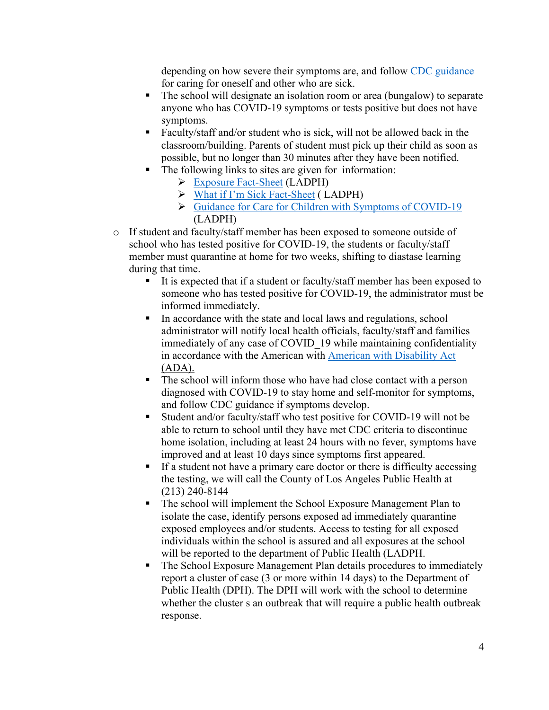depending on how severe their symptoms are, and follow CDC guidance for caring for oneself and other who are sick.

- The school will designate an isolation room or area (bungalow) to separate anyone who has COVID-19 symptoms or tests positive but does not have symptoms.
- Faculty/staff and/or student who is sick, will not be allowed back in the classroom/building. Parents of student must pick up their child as soon as possible, but no longer than 30 minutes after they have been notified.
- The following links to sites are given for information:
	- Exposure Fact-Sheet (LADPH)
	- What if I'm Sick Fact-Sheet ( LADPH)
	- Guidance for Care for Children with Symptoms of COVID-19 (LADPH)
- o If student and faculty/staff member has been exposed to someone outside of school who has tested positive for COVID-19, the students or faculty/staff member must quarantine at home for two weeks, shifting to diastase learning during that time.
	- It is expected that if a student or faculty/staff member has been exposed to someone who has tested positive for COVID-19, the administrator must be informed immediately.
	- In accordance with the state and local laws and regulations, school administrator will notify local health officials, faculty/staff and families immediately of any case of COVID 19 while maintaining confidentiality in accordance with the American with American with Disability Act (ADA).
	- The school will inform those who have had close contact with a person diagnosed with COVID-19 to stay home and self-monitor for symptoms, and follow CDC guidance if symptoms develop.
	- Student and/or faculty/staff who test positive for COVID-19 will not be able to return to school until they have met CDC criteria to discontinue home isolation, including at least 24 hours with no fever, symptoms have improved and at least 10 days since symptoms first appeared.
	- If a student not have a primary care doctor or there is difficulty accessing the testing, we will call the County of Los Angeles Public Health at (213) 240-8144
	- The school will implement the School Exposure Management Plan to isolate the case, identify persons exposed ad immediately quarantine exposed employees and/or students. Access to testing for all exposed individuals within the school is assured and all exposures at the school will be reported to the department of Public Health (LADPH.
	- The School Exposure Management Plan details procedures to immediately report a cluster of case (3 or more within 14 days) to the Department of Public Health (DPH). The DPH will work with the school to determine whether the cluster s an outbreak that will require a public health outbreak response.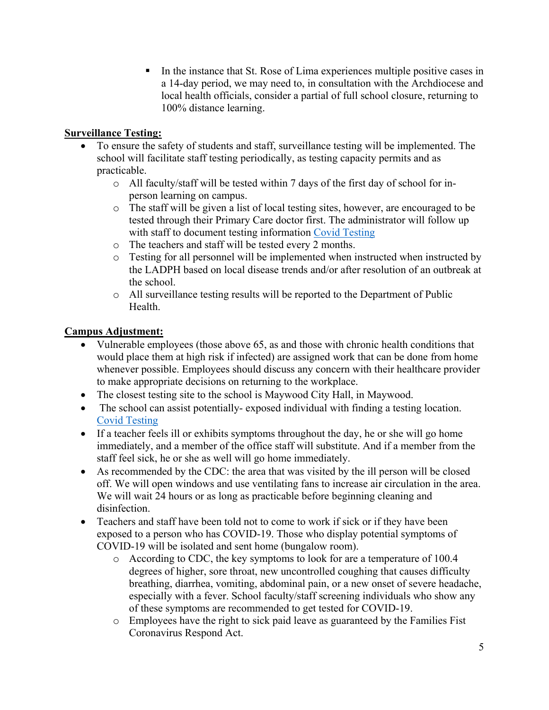In the instance that St. Rose of Lima experiences multiple positive cases in a 14-day period, we may need to, in consultation with the Archdiocese and local health officials, consider a partial of full school closure, returning to 100% distance learning.

## **Surveillance Testing:**

- To ensure the safety of students and staff, surveillance testing will be implemented. The school will facilitate staff testing periodically, as testing capacity permits and as practicable.
	- $\circ$  All faculty/staff will be tested within 7 days of the first day of school for inperson learning on campus.
	- o The staff will be given a list of local testing sites, however, are encouraged to be tested through their Primary Care doctor first. The administrator will follow up with staff to document testing information Covid Testing
	- o The teachers and staff will be tested every 2 months.
	- $\circ$  Testing for all personnel will be implemented when instructed when instructed by the LADPH based on local disease trends and/or after resolution of an outbreak at the school.
	- o All surveillance testing results will be reported to the Department of Public Health.

# **Campus Adjustment:**

- Vulnerable employees (those above 65, as and those with chronic health conditions that would place them at high risk if infected) are assigned work that can be done from home whenever possible. Employees should discuss any concern with their healthcare provider to make appropriate decisions on returning to the workplace.
- The closest testing site to the school is Maywood City Hall, in Maywood.
- The school can assist potentially-exposed individual with finding a testing location. Covid Testing
- If a teacher feels ill or exhibits symptoms throughout the day, he or she will go home immediately, and a member of the office staff will substitute. And if a member from the staff feel sick, he or she as well will go home immediately.
- As recommended by the CDC: the area that was visited by the ill person will be closed off. We will open windows and use ventilating fans to increase air circulation in the area. We will wait 24 hours or as long as practicable before beginning cleaning and disinfection.
- Teachers and staff have been told not to come to work if sick or if they have been exposed to a person who has COVID-19. Those who display potential symptoms of COVID-19 will be isolated and sent home (bungalow room).
	- o According to CDC, the key symptoms to look for are a temperature of 100.4 degrees of higher, sore throat, new uncontrolled coughing that causes difficulty breathing, diarrhea, vomiting, abdominal pain, or a new onset of severe headache, especially with a fever. School faculty/staff screening individuals who show any of these symptoms are recommended to get tested for COVID-19.
	- o Employees have the right to sick paid leave as guaranteed by the Families Fist Coronavirus Respond Act.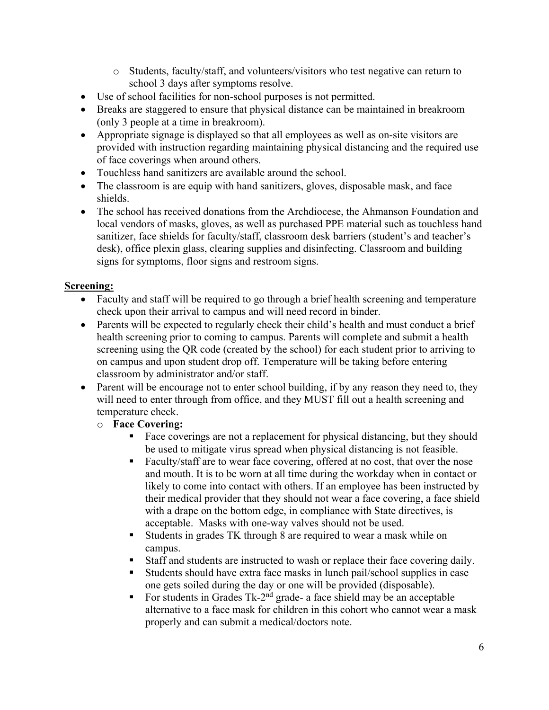- o Students, faculty/staff, and volunteers/visitors who test negative can return to school 3 days after symptoms resolve.
- Use of school facilities for non-school purposes is not permitted.
- Breaks are staggered to ensure that physical distance can be maintained in breakroom (only 3 people at a time in breakroom).
- Appropriate signage is displayed so that all employees as well as on-site visitors are provided with instruction regarding maintaining physical distancing and the required use of face coverings when around others.
- Touchless hand sanitizers are available around the school.
- The classroom is are equip with hand sanitizers, gloves, disposable mask, and face shields.
- The school has received donations from the Archdiocese, the Ahmanson Foundation and local vendors of masks, gloves, as well as purchased PPE material such as touchless hand sanitizer, face shields for faculty/staff, classroom desk barriers (student's and teacher's desk), office plexin glass, clearing supplies and disinfecting. Classroom and building signs for symptoms, floor signs and restroom signs.

### **Screening:**

- Faculty and staff will be required to go through a brief health screening and temperature check upon their arrival to campus and will need record in binder.
- Parents will be expected to regularly check their child's health and must conduct a brief health screening prior to coming to campus. Parents will complete and submit a health screening using the QR code (created by the school) for each student prior to arriving to on campus and upon student drop off. Temperature will be taking before entering classroom by administrator and/or staff.
- Parent will be encourage not to enter school building, if by any reason they need to, they will need to enter through from office, and they MUST fill out a health screening and temperature check.

#### o **Face Covering:**

- Face coverings are not a replacement for physical distancing, but they should be used to mitigate virus spread when physical distancing is not feasible.
- Faculty/staff are to wear face covering, offered at no cost, that over the nose and mouth. It is to be worn at all time during the workday when in contact or likely to come into contact with others. If an employee has been instructed by their medical provider that they should not wear a face covering, a face shield with a drape on the bottom edge, in compliance with State directives, is acceptable. Masks with one-way valves should not be used.
- Students in grades TK through 8 are required to wear a mask while on campus.
- Staff and students are instructed to wash or replace their face covering daily.
- Students should have extra face masks in lunch pail/school supplies in case one gets soiled during the day or one will be provided (disposable).
- For students in Grades  $Tk-2<sup>nd</sup>$  grade- a face shield may be an acceptable alternative to a face mask for children in this cohort who cannot wear a mask properly and can submit a medical/doctors note.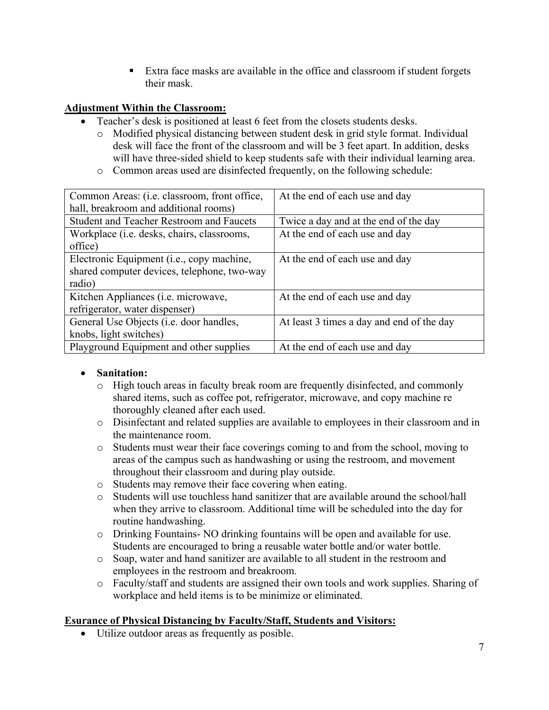Extra face masks are available in the office and classroom if student forgets their mask.

### **Adjustment Within the Classroom:**

- Teacher's desk is positioned at least 6 feet from the closets students desks.
	- o Modified physical distancing between student desk in grid style format. Individual desk will face the front of the classroom and will be 3 feet apart. In addition, desks will have three-sided shield to keep students safe with their individual learning area.
	- o Common areas used are disinfected frequently, on the following schedule:

| Common Areas: (i.e. classroom, front office,       | At the end of each use and day            |
|----------------------------------------------------|-------------------------------------------|
| hall, breakroom and additional rooms)              |                                           |
| <b>Student and Teacher Restroom and Faucets</b>    | Twice a day and at the end of the day     |
| Workplace ( <i>i.e.</i> desks, chairs, classrooms, | At the end of each use and day            |
| office)                                            |                                           |
| Electronic Equipment (i.e., copy machine,          | At the end of each use and day            |
| shared computer devices, telephone, two-way        |                                           |
| radio)                                             |                                           |
| Kitchen Appliances (i.e. microwave,                | At the end of each use and day            |
| refrigerator, water dispenser)                     |                                           |
| General Use Objects (i.e. door handles,            | At least 3 times a day and end of the day |
| knobs, light switches)                             |                                           |
| Playground Equipment and other supplies            | At the end of each use and day            |

#### **Sanitation:**

- o High touch areas in faculty break room are frequently disinfected, and commonly shared items, such as coffee pot, refrigerator, microwave, and copy machine re thoroughly cleaned after each used.
- o Disinfectant and related supplies are available to employees in their classroom and in the maintenance room.
- o Students must wear their face coverings coming to and from the school, moving to areas of the campus such as handwashing or using the restroom, and movement throughout their classroom and during play outside.
- o Students may remove their face covering when eating.
- o Students will use touchless hand sanitizer that are available around the school/hall when they arrive to classroom. Additional time will be scheduled into the day for routine handwashing.
- o Drinking Fountains- NO drinking fountains will be open and available for use. Students are encouraged to bring a reusable water bottle and/or water bottle.
- o Soap, water and hand sanitizer are available to all student in the restroom and employees in the restroom and breakroom.
- o Faculty/staff and students are assigned their own tools and work supplies. Sharing of workplace and held items is to be minimize or eliminated.

#### **Esurance of Physical Distancing by Faculty/Staff, Students and Visitors:**

Utilize outdoor areas as frequently as posible.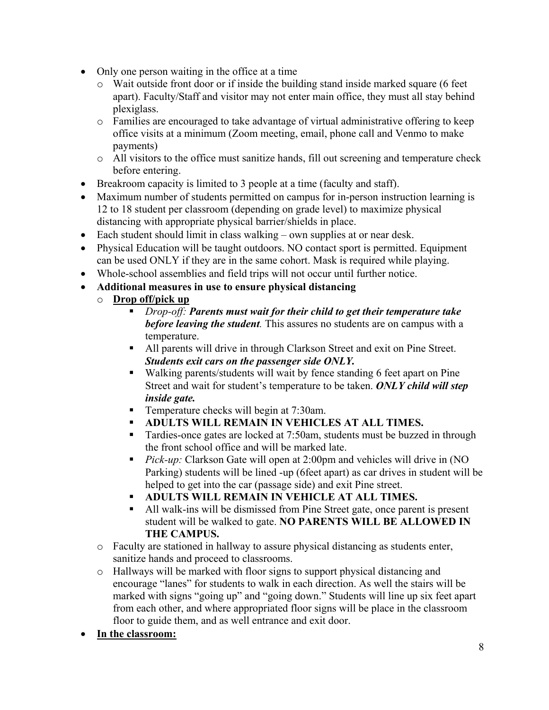- Only one person waiting in the office at a time
	- o Wait outside front door or if inside the building stand inside marked square (6 feet apart). Faculty/Staff and visitor may not enter main office, they must all stay behind plexiglass.
	- o Families are encouraged to take advantage of virtual administrative offering to keep office visits at a minimum (Zoom meeting, email, phone call and Venmo to make payments)
	- o All visitors to the office must sanitize hands, fill out screening and temperature check before entering.
- Breakroom capacity is limited to 3 people at a time (faculty and staff).
- Maximum number of students permitted on campus for in-person instruction learning is 12 to 18 student per classroom (depending on grade level) to maximize physical distancing with appropriate physical barrier/shields in place.
- Each student should limit in class walking own supplies at or near desk.
- Physical Education will be taught outdoors. NO contact sport is permitted. Equipment can be used ONLY if they are in the same cohort. Mask is required while playing.
- Whole-school assemblies and field trips will not occur until further notice.
- **Additional measures in use to ensure physical distancing** 
	- o **Drop off/pick up** 
		- *Drop-off: Parents must wait for their child to get their temperature take before leaving the student.* This assures no students are on campus with a temperature.
		- All parents will drive in through Clarkson Street and exit on Pine Street. *Students exit cars on the passenger side ONLY.*
		- Walking parents/students will wait by fence standing 6 feet apart on Pine Street and wait for student's temperature to be taken. *ONLY child will step inside gate.*
		- **Temperature checks will begin at 7:30am.**
		- **ADULTS WILL REMAIN IN VEHICLES AT ALL TIMES.**
		- Tardies-once gates are locked at 7:50am, students must be buzzed in through the front school office and will be marked late.
		- **Pick-up:** Clarkson Gate will open at 2:00pm and vehicles will drive in (NO Parking) students will be lined -up (6feet apart) as car drives in student will be helped to get into the car (passage side) and exit Pine street.
		- **ADULTS WILL REMAIN IN VEHICLE AT ALL TIMES.**
		- All walk-ins will be dismissed from Pine Street gate, once parent is present student will be walked to gate. **NO PARENTS WILL BE ALLOWED IN THE CAMPUS.**
	- o Faculty are stationed in hallway to assure physical distancing as students enter, sanitize hands and proceed to classrooms.
	- o Hallways will be marked with floor signs to support physical distancing and encourage "lanes" for students to walk in each direction. As well the stairs will be marked with signs "going up" and "going down." Students will line up six feet apart from each other, and where appropriated floor signs will be place in the classroom floor to guide them, and as well entrance and exit door.
- **In the classroom:**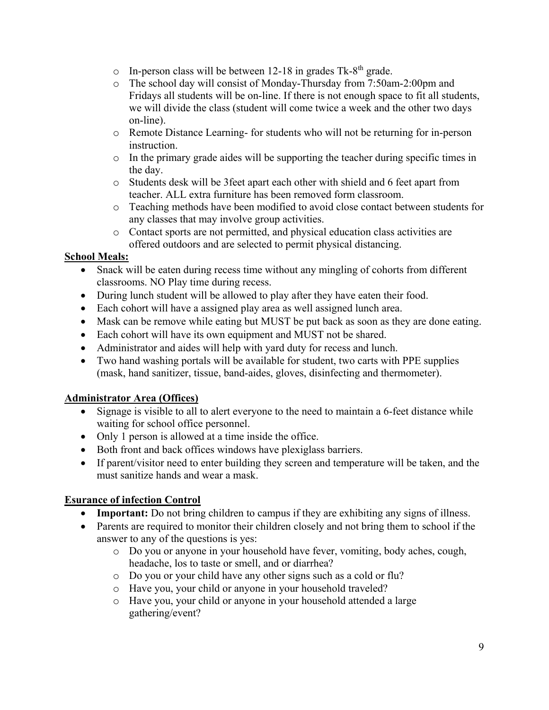- $\circ$  In-person class will be between 12-18 in grades Tk-8<sup>th</sup> grade.
- o The school day will consist of Monday-Thursday from 7:50am-2:00pm and Fridays all students will be on-line. If there is not enough space to fit all students, we will divide the class (student will come twice a week and the other two days on-line).
- o Remote Distance Learning- for students who will not be returning for in-person instruction.
- o In the primary grade aides will be supporting the teacher during specific times in the day.
- o Students desk will be 3feet apart each other with shield and 6 feet apart from teacher. ALL extra furniture has been removed form classroom.
- o Teaching methods have been modified to avoid close contact between students for any classes that may involve group activities.
- o Contact sports are not permitted, and physical education class activities are offered outdoors and are selected to permit physical distancing.

# **School Meals:**

- Snack will be eaten during recess time without any mingling of cohorts from different classrooms. NO Play time during recess.
- During lunch student will be allowed to play after they have eaten their food.
- Each cohort will have a assigned play area as well assigned lunch area.
- Mask can be remove while eating but MUST be put back as soon as they are done eating.
- Each cohort will have its own equipment and MUST not be shared.
- Administrator and aides will help with yard duty for recess and lunch.
- Two hand washing portals will be available for student, two carts with PPE supplies (mask, hand sanitizer, tissue, band-aides, gloves, disinfecting and thermometer).

# **Administrator Area (Offices)**

- Signage is visible to all to alert everyone to the need to maintain a 6-feet distance while waiting for school office personnel.
- Only 1 person is allowed at a time inside the office.
- Both front and back offices windows have plexiglass barriers.
- If parent/visitor need to enter building they screen and temperature will be taken, and the must sanitize hands and wear a mask.

# **Esurance of infection Control**

- Important: Do not bring children to campus if they are exhibiting any signs of illness.
- Parents are required to monitor their children closely and not bring them to school if the answer to any of the questions is yes:
	- o Do you or anyone in your household have fever, vomiting, body aches, cough, headache, los to taste or smell, and or diarrhea?
	- o Do you or your child have any other signs such as a cold or flu?
	- o Have you, your child or anyone in your household traveled?
	- o Have you, your child or anyone in your household attended a large gathering/event?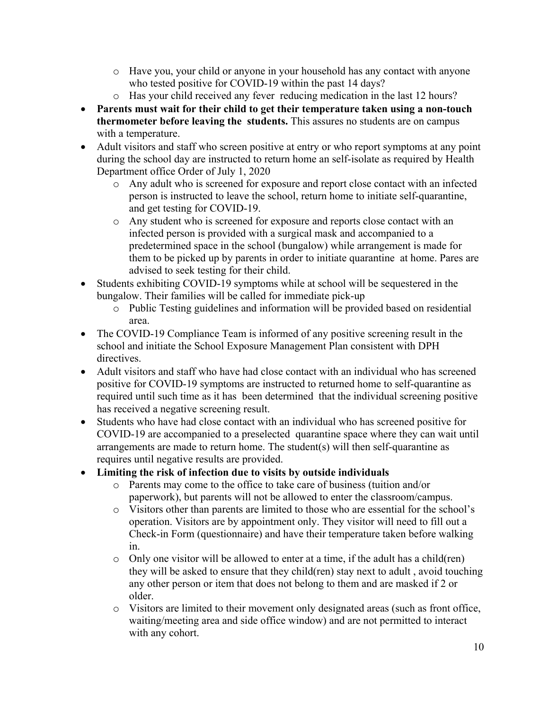- o Have you, your child or anyone in your household has any contact with anyone who tested positive for COVID-19 within the past 14 days?
- o Has your child received any fever reducing medication in the last 12 hours?
- **Parents must wait for their child to get their temperature taken using a non-touch thermometer before leaving the students.** This assures no students are on campus with a temperature.
- Adult visitors and staff who screen positive at entry or who report symptoms at any point during the school day are instructed to return home an self-isolate as required by Health Department office Order of July 1, 2020
	- o Any adult who is screened for exposure and report close contact with an infected person is instructed to leave the school, return home to initiate self-quarantine, and get testing for COVID-19.
	- o Any student who is screened for exposure and reports close contact with an infected person is provided with a surgical mask and accompanied to a predetermined space in the school (bungalow) while arrangement is made for them to be picked up by parents in order to initiate quarantine at home. Pares are advised to seek testing for their child.
- Students exhibiting COVID-19 symptoms while at school will be sequestered in the bungalow. Their families will be called for immediate pick-up
	- o Public Testing guidelines and information will be provided based on residential area.
- The COVID-19 Compliance Team is informed of any positive screening result in the school and initiate the School Exposure Management Plan consistent with DPH directives.
- Adult visitors and staff who have had close contact with an individual who has screened positive for COVID-19 symptoms are instructed to returned home to self-quarantine as required until such time as it has been determined that the individual screening positive has received a negative screening result.
- Students who have had close contact with an individual who has screened positive for COVID-19 are accompanied to a preselected quarantine space where they can wait until arrangements are made to return home. The student(s) will then self-quarantine as requires until negative results are provided.
- **Limiting the risk of infection due to visits by outside individuals**
	- o Parents may come to the office to take care of business (tuition and/or paperwork), but parents will not be allowed to enter the classroom/campus.
	- o Visitors other than parents are limited to those who are essential for the school's operation. Visitors are by appointment only. They visitor will need to fill out a Check-in Form (questionnaire) and have their temperature taken before walking in.
	- o Only one visitor will be allowed to enter at a time, if the adult has a child(ren) they will be asked to ensure that they child(ren) stay next to adult , avoid touching any other person or item that does not belong to them and are masked if 2 or older.
	- o Visitors are limited to their movement only designated areas (such as front office, waiting/meeting area and side office window) and are not permitted to interact with any cohort.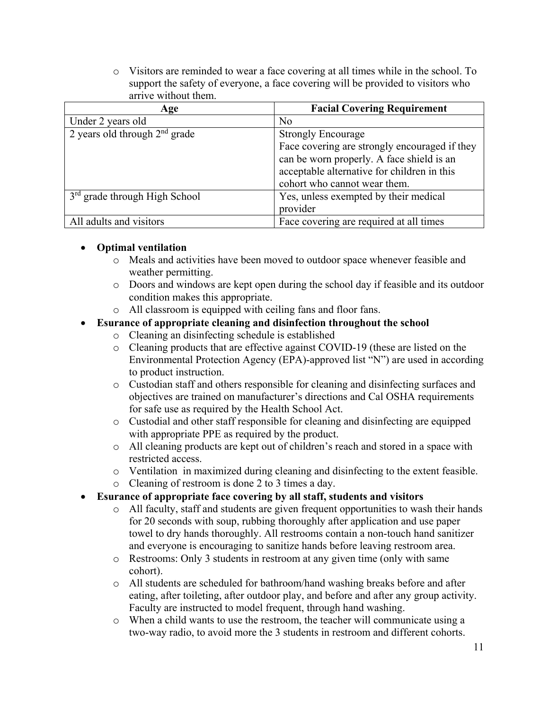o Visitors are reminded to wear a face covering at all times while in the school. To support the safety of everyone, a face covering will be provided to visitors who arrive without them.

| Age                             | <b>Facial Covering Requirement</b>            |
|---------------------------------|-----------------------------------------------|
| Under 2 years old               | N <sub>o</sub>                                |
| 2 years old through $2nd$ grade | <b>Strongly Encourage</b>                     |
|                                 | Face covering are strongly encouraged if they |
|                                 | can be worn properly. A face shield is an     |
|                                 | acceptable alternative for children in this   |
|                                 | cohort who cannot wear them.                  |
| $3rd$ grade through High School | Yes, unless exempted by their medical         |
|                                 | provider                                      |
| All adults and visitors         | Face covering are required at all times       |

## **Optimal ventilation**

- o Meals and activities have been moved to outdoor space whenever feasible and weather permitting.
- o Doors and windows are kept open during the school day if feasible and its outdoor condition makes this appropriate.
- o All classroom is equipped with ceiling fans and floor fans.

# **Esurance of appropriate cleaning and disinfection throughout the school**

- o Cleaning an disinfecting schedule is established
- o Cleaning products that are effective against COVID-19 (these are listed on the Environmental Protection Agency (EPA)-approved list "N") are used in according to product instruction.
- o Custodian staff and others responsible for cleaning and disinfecting surfaces and objectives are trained on manufacturer's directions and Cal OSHA requirements for safe use as required by the Health School Act.
- o Custodial and other staff responsible for cleaning and disinfecting are equipped with appropriate PPE as required by the product.
- o All cleaning products are kept out of children's reach and stored in a space with restricted access.
- o Ventilation in maximized during cleaning and disinfecting to the extent feasible.
- o Cleaning of restroom is done 2 to 3 times a day.

## **Esurance of appropriate face covering by all staff, students and visitors**

- o All faculty, staff and students are given frequent opportunities to wash their hands for 20 seconds with soup, rubbing thoroughly after application and use paper towel to dry hands thoroughly. All restrooms contain a non-touch hand sanitizer and everyone is encouraging to sanitize hands before leaving restroom area.
- o Restrooms: Only 3 students in restroom at any given time (only with same cohort).
- o All students are scheduled for bathroom/hand washing breaks before and after eating, after toileting, after outdoor play, and before and after any group activity. Faculty are instructed to model frequent, through hand washing.
- o When a child wants to use the restroom, the teacher will communicate using a two-way radio, to avoid more the 3 students in restroom and different cohorts.